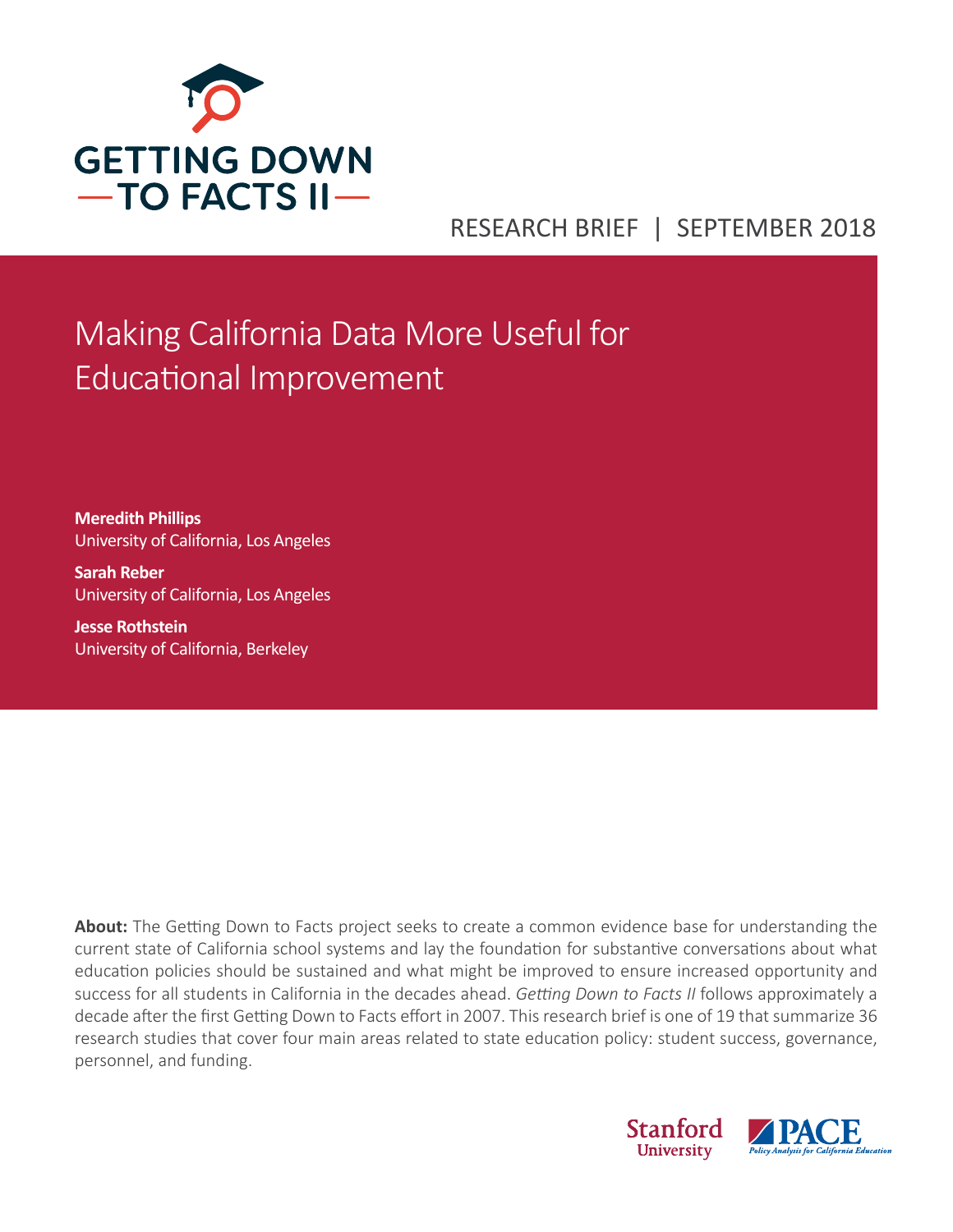

# RESEARCH BRIEF | SEPTEMBER 2018

# Making California Data More Useful for Educational Improvement

**Meredith Phillips** University of California, Los Angeles

**Sarah Reber** University of California, Los Angeles

**Jesse Rothstein** University of California, Berkeley

**About:** The Getting Down to Facts project seeks to create a common evidence base for understanding the current state of California school systems and lay the foundation for substantive conversations about what education policies should be sustained and what might be improved to ensure increased opportunity and success for all students in California in the decades ahead. *Getting Down to Facts II* follows approximately a decade after the first Getting Down to Facts effort in 2007. This research brief is one of 19 that summarize 36 research studies that cover four main areas related to state education policy: student success, governance, personnel, and funding.

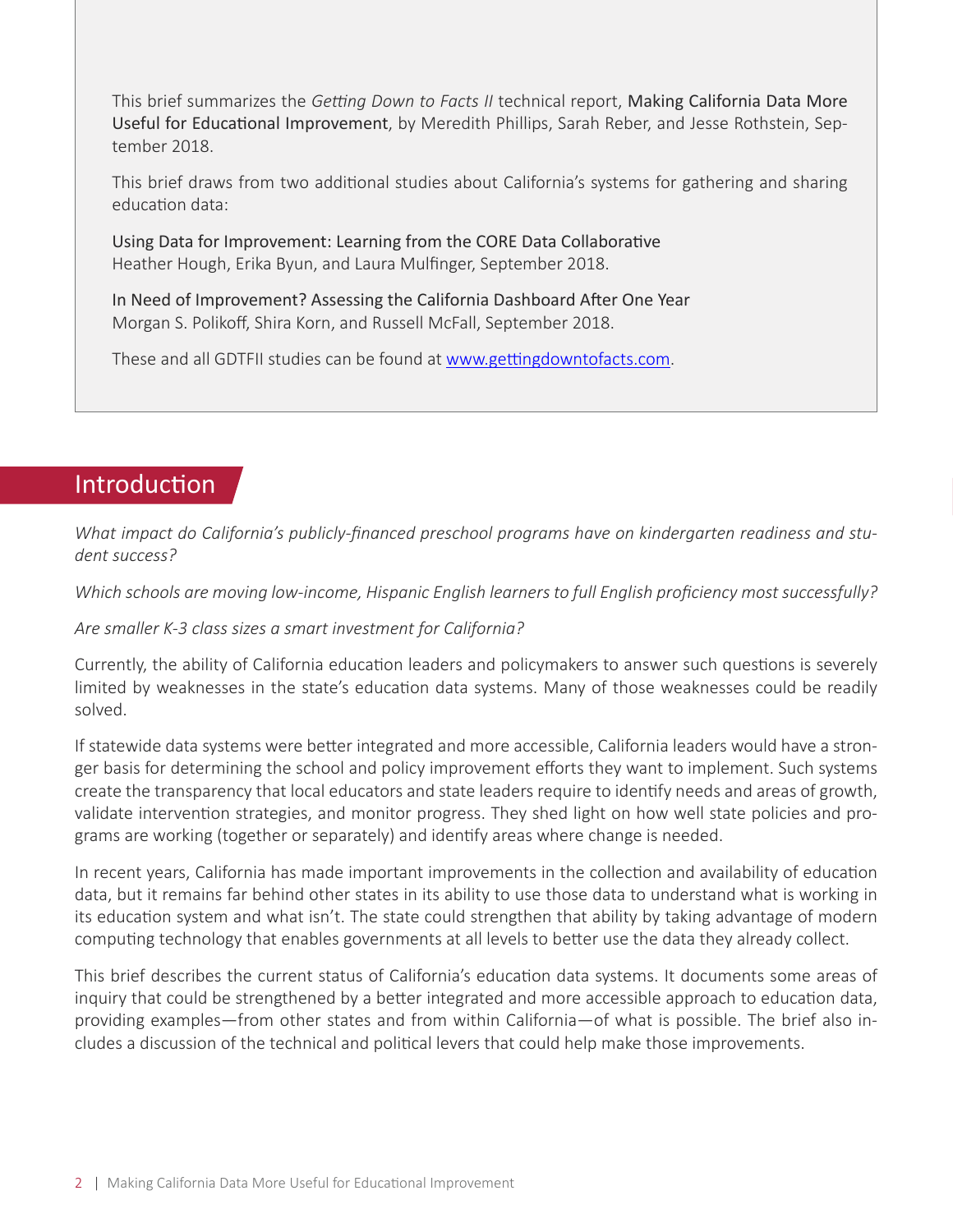This brief summarizes the *Getting Down to Facts II* technical report, Making California Data More Useful for Educational Improvement, by Meredith Phillips, Sarah Reber, and Jesse Rothstein, September 2018.

This brief draws from two additional studies about California's systems for gathering and sharing education data:

Using Data for Improvement: Learning from the CORE Data Collaborative Heather Hough, Erika Byun, and Laura Mulfinger, September 2018.

In Need of Improvement? Assessing the California Dashboard After One Year Morgan S. Polikoff, Shira Korn, and Russell McFall, September 2018.

These and all GDTFII studies can be found at [www.gettingdowntofacts.com](http://www.gettingdowntofacts.com).

## Introduction

*What impact do California's publicly-financed preschool programs have on kindergarten readiness and student success?* 

*Which schools are moving low-income, Hispanic English learners to full English proficiency most successfully?*

*Are smaller K-3 class sizes a smart investment for California?* 

Currently, the ability of California education leaders and policymakers to answer such questions is severely limited by weaknesses in the state's education data systems. Many of those weaknesses could be readily solved.

If statewide data systems were better integrated and more accessible, California leaders would have a stronger basis for determining the school and policy improvement efforts they want to implement. Such systems create the transparency that local educators and state leaders require to identify needs and areas of growth, validate intervention strategies, and monitor progress. They shed light on how well state policies and programs are working (together or separately) and identify areas where change is needed.

In recent years, California has made important improvements in the collection and availability of education data, but it remains far behind other states in its ability to use those data to understand what is working in its education system and what isn't. The state could strengthen that ability by taking advantage of modern computing technology that enables governments at all levels to better use the data they already collect.

This brief describes the current status of California's education data systems. It documents some areas of inquiry that could be strengthened by a better integrated and more accessible approach to education data, providing examples—from other states and from within California—of what is possible. The brief also includes a discussion of the technical and political levers that could help make those improvements.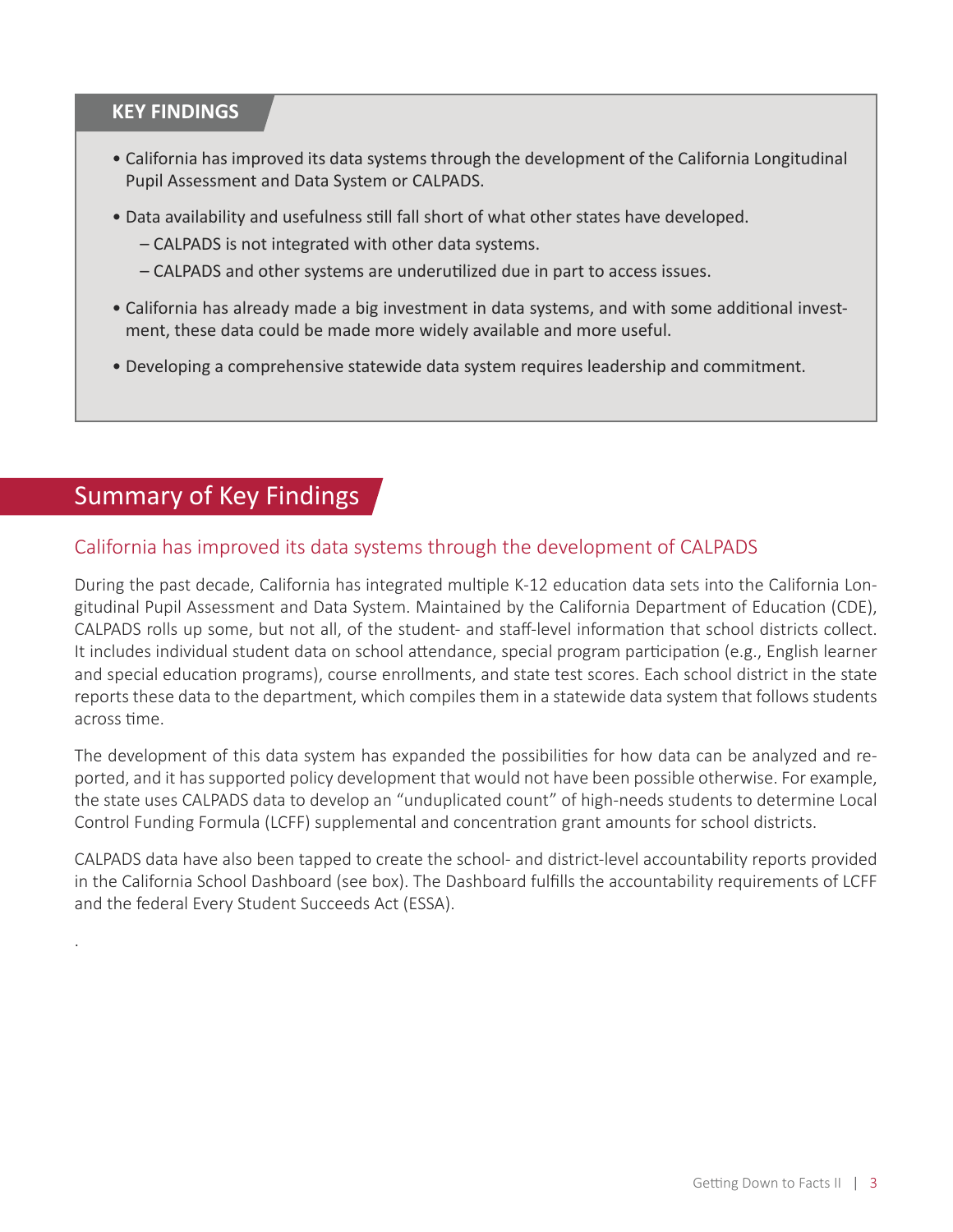#### **KEY FINDINGS**

- California has improved its data systems through the development of the California Longitudinal Pupil Assessment and Data System or CALPADS.
- Data availability and usefulness still fall short of what other states have developed.
	- CALPADS is not integrated with other data systems.
	- CALPADS and other systems are underutilized due in part to access issues.
- California has already made a big investment in data systems, and with some additional invest‐ ment, these data could be made more widely available and more useful.
- Developing a comprehensive statewide data system requires leadership and commitment.

# Summary of Key Findings

.

#### California has improved its data systems through the development of CALPADS

During the past decade, California has integrated multiple K-12 education data sets into the California Longitudinal Pupil Assessment and Data System. Maintained by the California Department of Education (CDE), CALPADS rolls up some, but not all, of the student- and staff-level information that school districts collect. It includes individual student data on school attendance, special program participation (e.g., English learner and special education programs), course enrollments, and state test scores. Each school district in the state reports these data to the department, which compiles them in a statewide data system that follows students across time.

The development of this data system has expanded the possibilities for how data can be analyzed and reported, and it has supported policy development that would not have been possible otherwise. For example, the state uses CALPADS data to develop an "unduplicated count" of high-needs students to determine Local Control Funding Formula (LCFF) supplemental and concentration grant amounts for school districts.

CALPADS data have also been tapped to create the school- and district-level accountability reports provided in the California School Dashboard (see box). The Dashboard fulfills the accountability requirements of LCFF and the federal Every Student Succeeds Act (ESSA).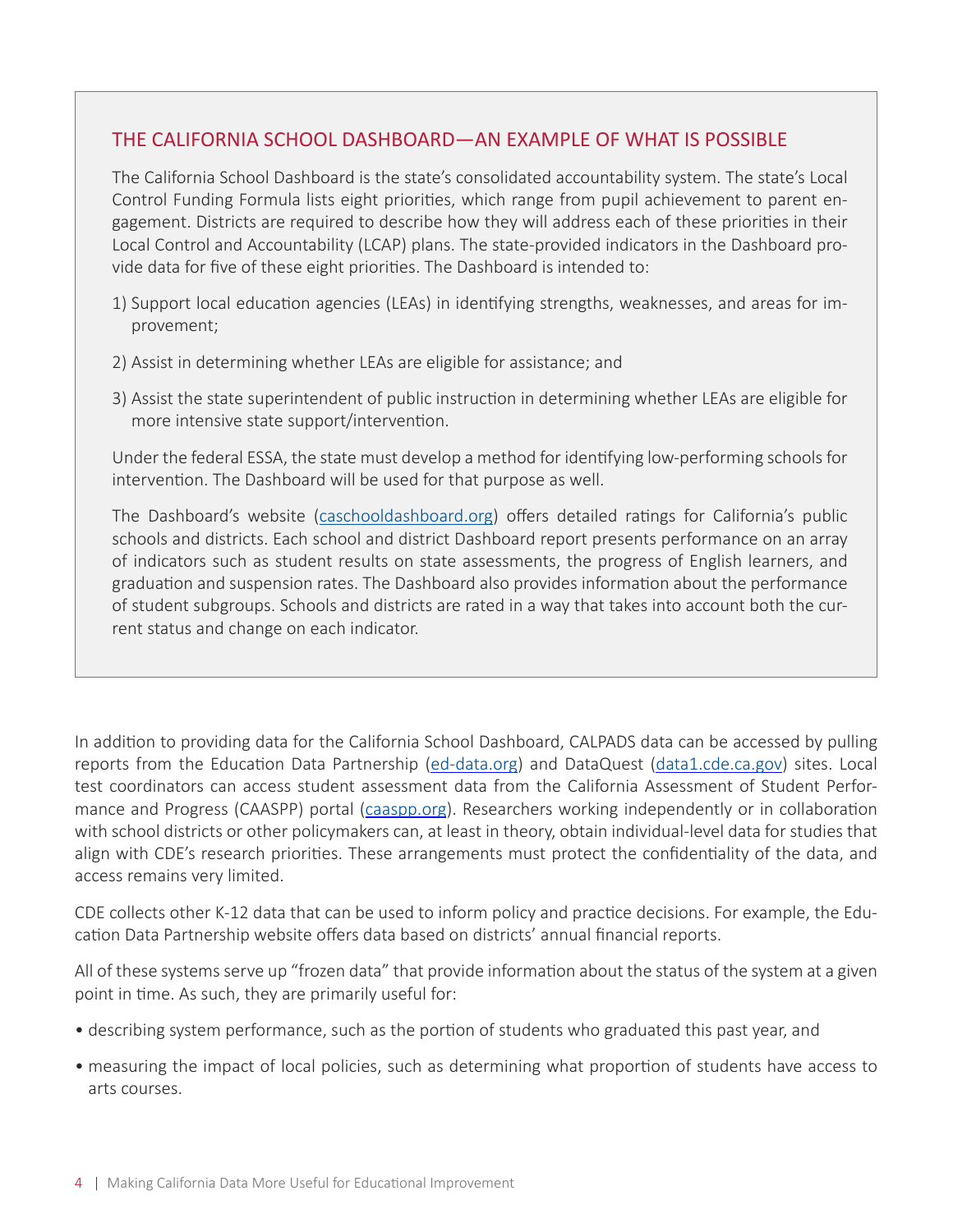#### THE CALIFORNIA SCHOOL DASHBOARD—AN EXAMPLE OF WHAT IS POSSIBLE

The California School Dashboard is the state's consolidated accountability system. The state's Local Control Funding Formula lists eight priorities, which range from pupil achievement to parent engagement. Districts are required to describe how they will address each of these priorities in their Local Control and Accountability (LCAP) plans. The state-provided indicators in the Dashboard provide data for five of these eight priorities. The Dashboard is intended to:

- 1) Support local education agencies (LEAs) in identifying strengths, weaknesses, and areas for improvement;
- 2) Assist in determining whether LEAs are eligible for assistance; and
- 3) Assist the state superintendent of public instruction in determining whether LEAs are eligible for more intensive state support/intervention.

Under the federal ESSA, the state must develop a method for identifying low-performing schools for intervention. The Dashboard will be used for that purpose as well.

The Dashboard's website (caschooldashboard.org) offers detailed ratings for California's public schools and districts. Each school and district Dashboard report presents performance on an array of indicators such as student results on state assessments, the progress of English learners, and graduation and suspension rates. The Dashboard also provides information about the performance of student subgroups. Schools and districts are rated in a way that takes into account both the current status and change on each indicator.

In addition to providing data for the California School Dashboard, CALPADS data can be accessed by pulling reports from the Education Data Partnership ([ed-data.org](http://www.ed-data.org/)) and DataQuest ([data1.cde.ca.gov\)](https://data1.cde.ca.gov/dataquest/) sites. Local test coordinators can access student assessment data from the California Assessment of Student Performance and Progress (CAASPP) portal ([caaspp.org\)](http://www.caaspp.org/). Researchers working independently or in collaboration with school districts or other policymakers can, at least in theory, obtain individual-level data for studies that align with CDE's research priorities. These arrangements must protect the confidentiality of the data, and access remains very limited.

CDE collects other K-12 data that can be used to inform policy and practice decisions. For example, the Education Data Partnership website offers data based on districts' annual financial reports.

All of these systems serve up "frozen data" that provide information about the status of the system at a given point in time. As such, they are primarily useful for:

- describing system performance, such as the portion of students who graduated this past year, and
- measuring the impact of local policies, such as determining what proportion of students have access to arts courses.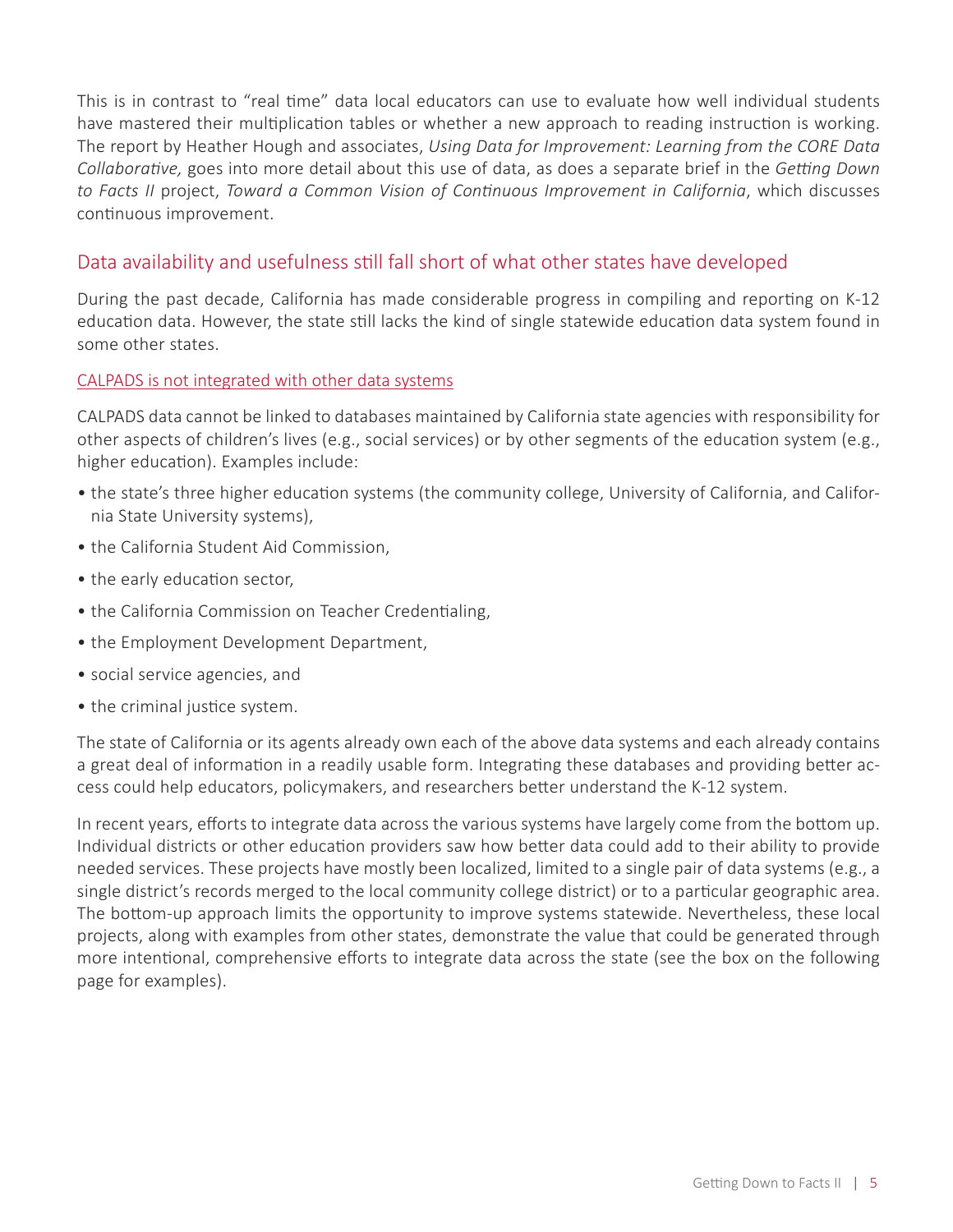This is in contrast to "real time" data local educators can use to evaluate how well individual students have mastered their multiplication tables or whether a new approach to reading instruction is working. The report by Heather Hough and associates, *Using Data for Improvement: Learning from the CORE Data Collaborative,* goes into more detail about this use of data, as does a separate brief in the *Getting Down to Facts II* project, *Toward a Common Vision of Continuous Improvement in California*, which discusses continuous improvement.

#### Data availability and usefulness still fall short of what other states have developed

During the past decade, California has made considerable progress in compiling and reporting on K-12 education data. However, the state still lacks the kind of single statewide education data system found in some other states.

#### CALPADS is not integrated with other data systems

CALPADS data cannot be linked to databases maintained by California state agencies with responsibility for other aspects of children's lives (e.g., social services) or by other segments of the education system (e.g., higher education). Examples include:

- the state's three higher education systems (the community college, University of California, and California State University systems),
- the California Student Aid Commission,
- the early education sector,
- the California Commission on Teacher Credentialing,
- the Employment Development Department,
- social service agencies, and
- the criminal justice system.

The state of California or its agents already own each of the above data systems and each already contains a great deal of information in a readily usable form. Integrating these databases and providing better access could help educators, policymakers, and researchers better understand the K-12 system.

In recent years, efforts to integrate data across the various systems have largely come from the bottom up. Individual districts or other education providers saw how better data could add to their ability to provide needed services. These projects have mostly been localized, limited to a single pair of data systems (e.g., a single district's records merged to the local community college district) or to a particular geographic area. The bottom-up approach limits the opportunity to improve systems statewide. Nevertheless, these local projects, along with examples from other states, demonstrate the value that could be generated through more intentional, comprehensive efforts to integrate data across the state (see the box on the following page for examples).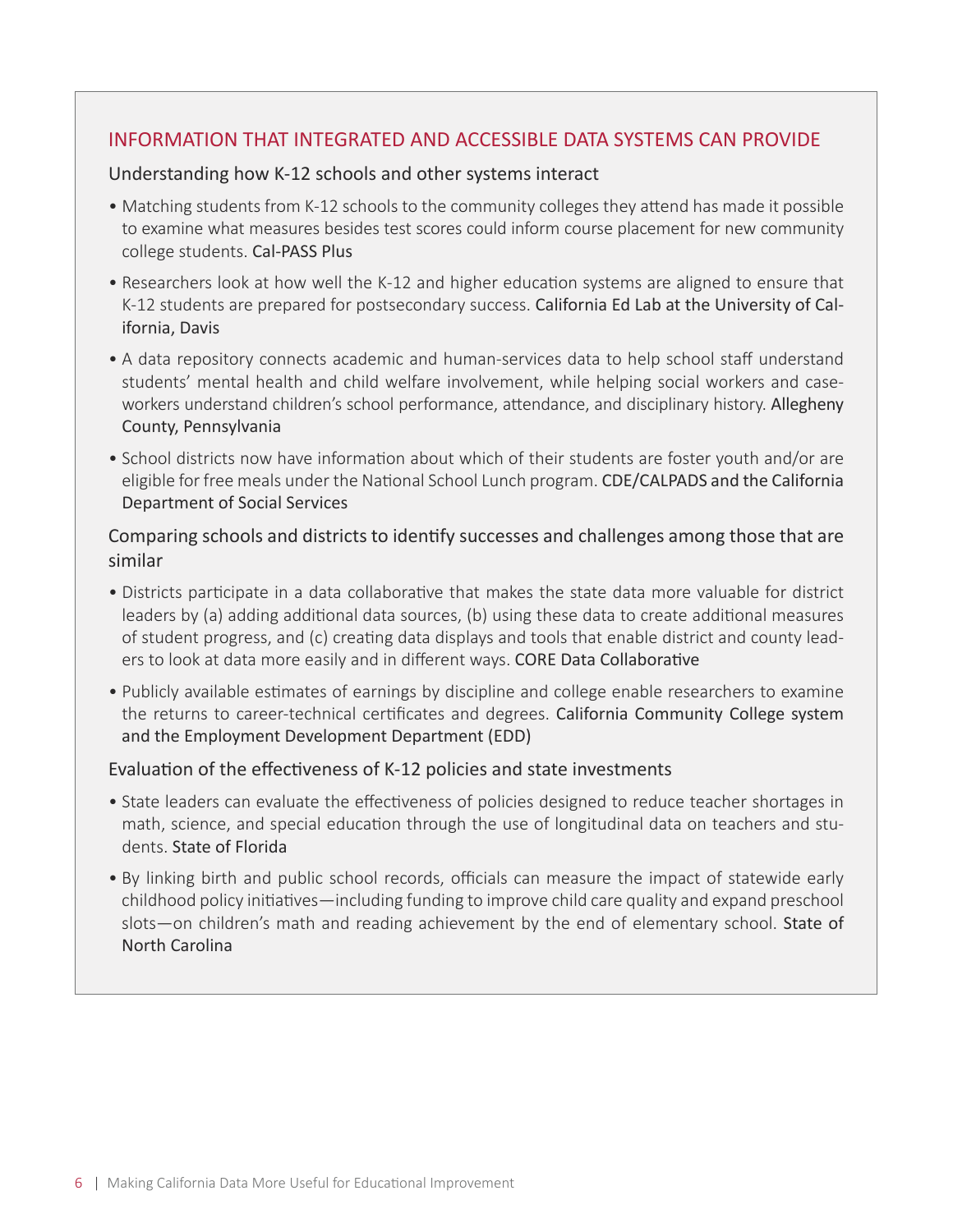#### INFORMATION THAT INTEGRATED AND ACCESSIBLE DATA SYSTEMS CAN PROVIDE

#### Understanding how K-12 schools and other systems interact

- Matching students from K-12 schools to the community colleges they attend has made it possible to examine what measures besides test scores could inform course placement for new community college students. Cal‐PASS Plus
- Researchers look at how well the K-12 and higher education systems are aligned to ensure that K-12 students are prepared for postsecondary success. California Ed Lab at the University of California, Davis
- A data repository connects academic and human-services data to help school staff understand students' mental health and child welfare involvement, while helping social workers and caseworkers understand children's school performance, attendance, and disciplinary history. Allegheny County, Pennsylvania
- School districts now have information about which of their students are foster youth and/or are eligible for free meals under the National School Lunch program. CDE/CALPADS and the California Department of Social Services

#### Comparing schools and districts to identify successes and challenges among those that are similar

- Districts participate in a data collaborative that makes the state data more valuable for district leaders by (a) adding additional data sources, (b) using these data to create additional measures of student progress, and (c) creating data displays and tools that enable district and county leaders to look at data more easily and in different ways. CORE Data Collaborative
- Publicly available estimates of earnings by discipline and college enable researchers to examine the returns to career-technical certificates and degrees. California Community College system and the Employment Development Department (EDD)

#### Evaluation of the effectiveness of K-12 policies and state investments

- State leaders can evaluate the effectiveness of policies designed to reduce teacher shortages in math, science, and special education through the use of longitudinal data on teachers and students. State of Florida
- By linking birth and public school records, officials can measure the impact of statewide early childhood policy initiatives—including funding to improve child care quality and expand preschool slots—on children's math and reading achievement by the end of elementary school. State of North Carolina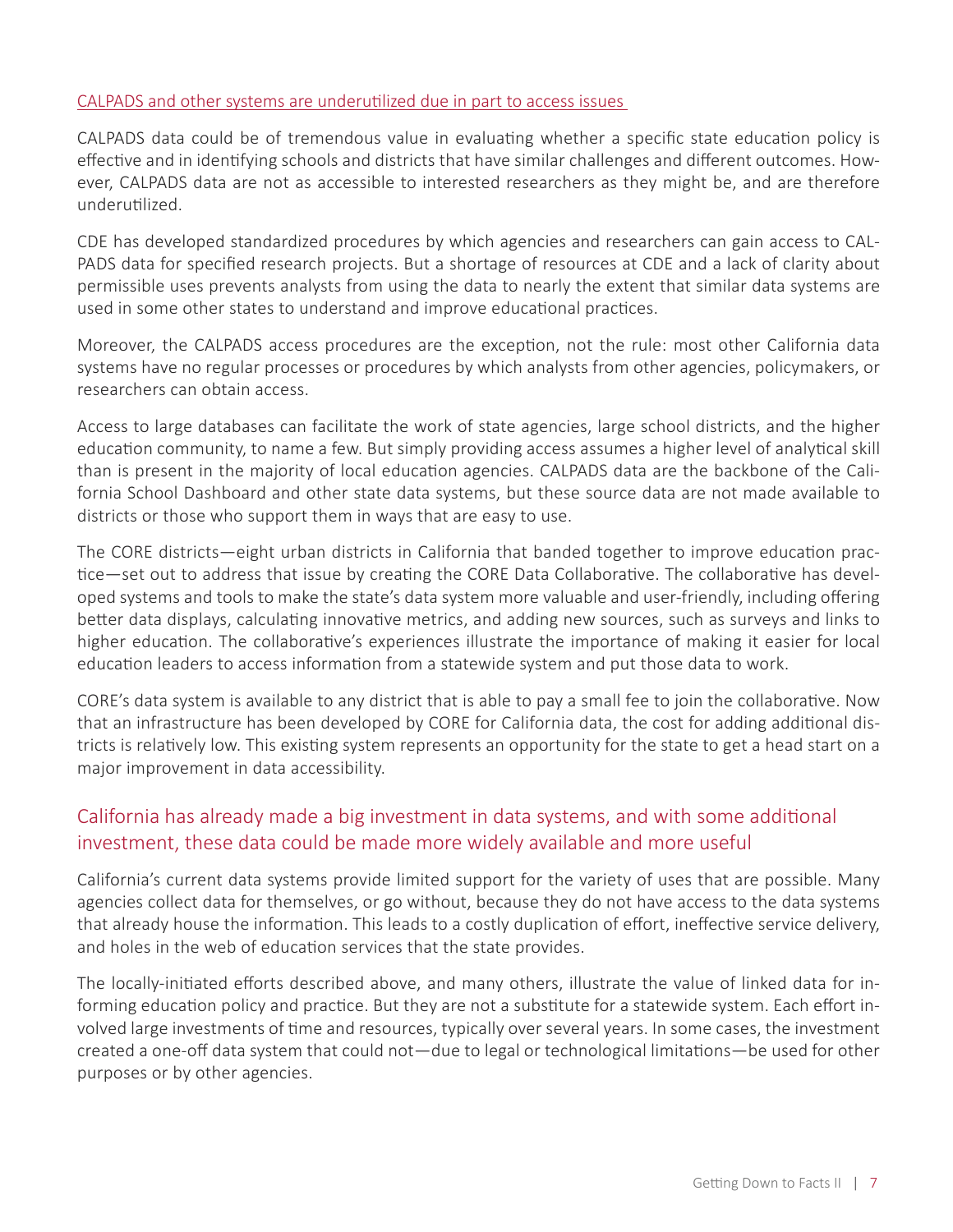#### CALPADS and other systems are underutilized due in part to access issues

CALPADS data could be of tremendous value in evaluating whether a specific state education policy is effective and in identifying schools and districts that have similar challenges and different outcomes. However, CALPADS data are not as accessible to interested researchers as they might be, and are therefore underutilized.

CDE has developed standardized procedures by which agencies and researchers can gain access to CAL-PADS data for specified research projects. But a shortage of resources at CDE and a lack of clarity about permissible uses prevents analysts from using the data to nearly the extent that similar data systems are used in some other states to understand and improve educational practices.

Moreover, the CALPADS access procedures are the exception, not the rule: most other California data systems have no regular processes or procedures by which analysts from other agencies, policymakers, or researchers can obtain access.

Access to large databases can facilitate the work of state agencies, large school districts, and the higher education community, to name a few. But simply providing access assumes a higher level of analytical skill than is present in the majority of local education agencies. CALPADS data are the backbone of the California School Dashboard and other state data systems, but these source data are not made available to districts or those who support them in ways that are easy to use.

The CORE districts—eight urban districts in California that banded together to improve education practice—set out to address that issue by creating the CORE Data Collaborative. The collaborative has developed systems and tools to make the state's data system more valuable and user-friendly, including offering better data displays, calculating innovative metrics, and adding new sources, such as surveys and links to higher education. The collaborative's experiences illustrate the importance of making it easier for local education leaders to access information from a statewide system and put those data to work.

CORE's data system is available to any district that is able to pay a small fee to join the collaborative. Now that an infrastructure has been developed by CORE for California data, the cost for adding additional districts is relatively low. This existing system represents an opportunity for the state to get a head start on a major improvement in data accessibility.

### California has already made a big investment in data systems, and with some additional investment, these data could be made more widely available and more useful

California's current data systems provide limited support for the variety of uses that are possible. Many agencies collect data for themselves, or go without, because they do not have access to the data systems that already house the information. This leads to a costly duplication of effort, ineffective service delivery, and holes in the web of education services that the state provides.

The locally-initiated efforts described above, and many others, illustrate the value of linked data for informing education policy and practice. But they are not a substitute for a statewide system. Each effort involved large investments of time and resources, typically over several years. In some cases, the investment created a one‐off data system that could not—due to legal or technological limitations—be used for other purposes or by other agencies.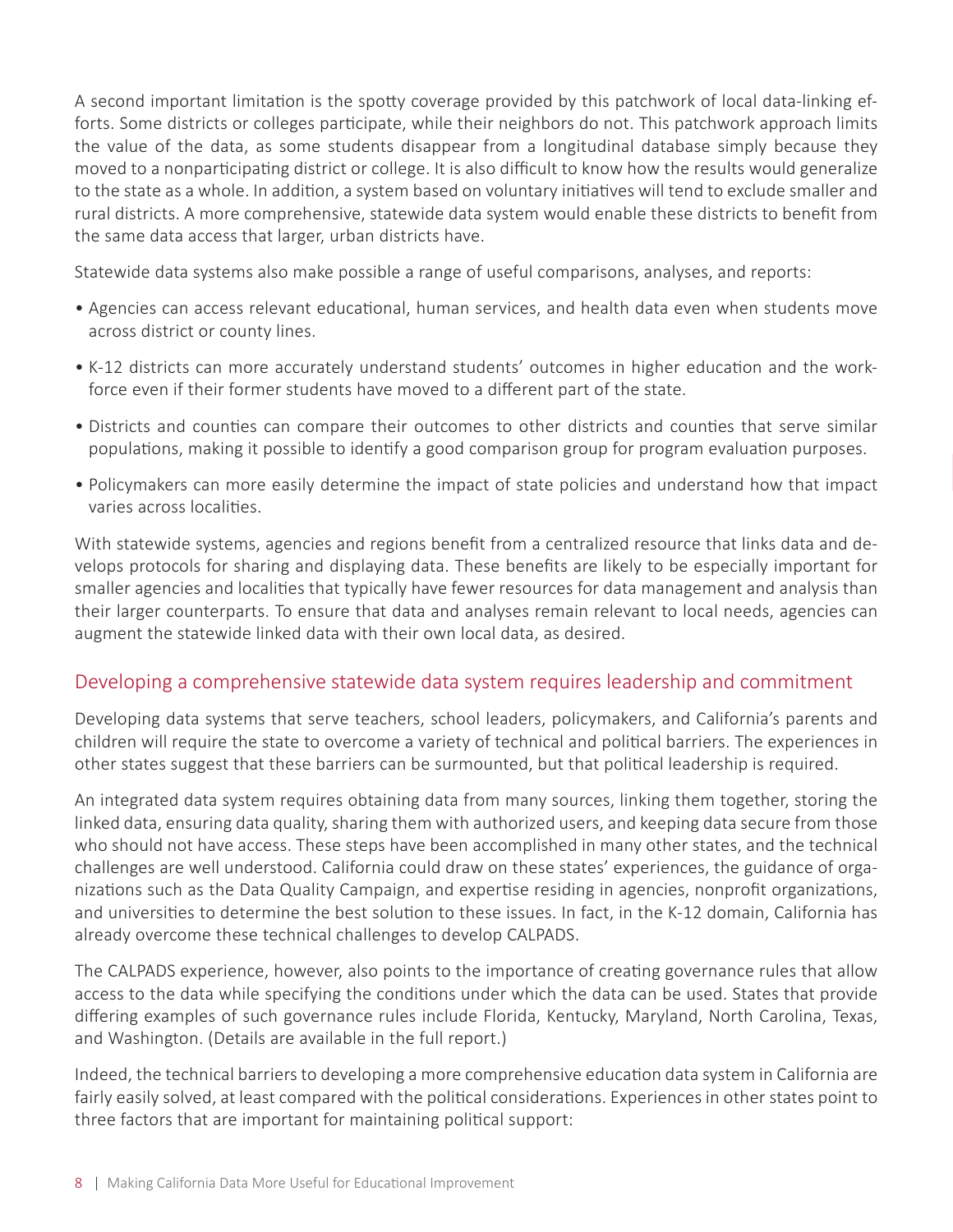A second important limitation is the spotty coverage provided by this patchwork of local data‐linking efforts. Some districts or colleges participate, while their neighbors do not. This patchwork approach limits the value of the data, as some students disappear from a longitudinal database simply because they moved to a nonparticipating district or college. It is also difficult to know how the results would generalize to the state as a whole. In addition, a system based on voluntary initiatives will tend to exclude smaller and rural districts. A more comprehensive, statewide data system would enable these districts to benefit from the same data access that larger, urban districts have.

Statewide data systems also make possible a range of useful comparisons, analyses, and reports:

- Agencies can access relevant educational, human services, and health data even when students move across district or county lines.
- K‐12 districts can more accurately understand students' outcomes in higher education and the workforce even if their former students have moved to a different part of the state.
- Districts and counties can compare their outcomes to other districts and counties that serve similar populations, making it possible to identify a good comparison group for program evaluation purposes.
- Policymakers can more easily determine the impact of state policies and understand how that impact varies across localities.

With statewide systems, agencies and regions benefit from a centralized resource that links data and develops protocols for sharing and displaying data. These benefits are likely to be especially important for smaller agencies and localities that typically have fewer resources for data management and analysis than their larger counterparts. To ensure that data and analyses remain relevant to local needs, agencies can augment the statewide linked data with their own local data, as desired.

#### Developing a comprehensive statewide data system requires leadership and commitment

Developing data systems that serve teachers, school leaders, policymakers, and California's parents and children will require the state to overcome a variety of technical and political barriers. The experiences in other states suggest that these barriers can be surmounted, but that political leadership is required.

An integrated data system requires obtaining data from many sources, linking them together, storing the linked data, ensuring data quality, sharing them with authorized users, and keeping data secure from those who should not have access. These steps have been accomplished in many other states, and the technical challenges are well understood. California could draw on these states' experiences, the guidance of organizations such as the Data Quality Campaign, and expertise residing in agencies, nonprofit organizations, and universities to determine the best solution to these issues. In fact, in the K‐12 domain, California has already overcome these technical challenges to develop CALPADS.

The CALPADS experience, however, also points to the importance of creating governance rules that allow access to the data while specifying the conditions under which the data can be used. States that provide differing examples of such governance rules include Florida, Kentucky, Maryland, North Carolina, Texas, and Washington. (Details are available in the full report.)

Indeed, the technical barriers to developing a more comprehensive education data system in California are fairly easily solved, at least compared with the political considerations. Experiences in other states point to three factors that are important for maintaining political support: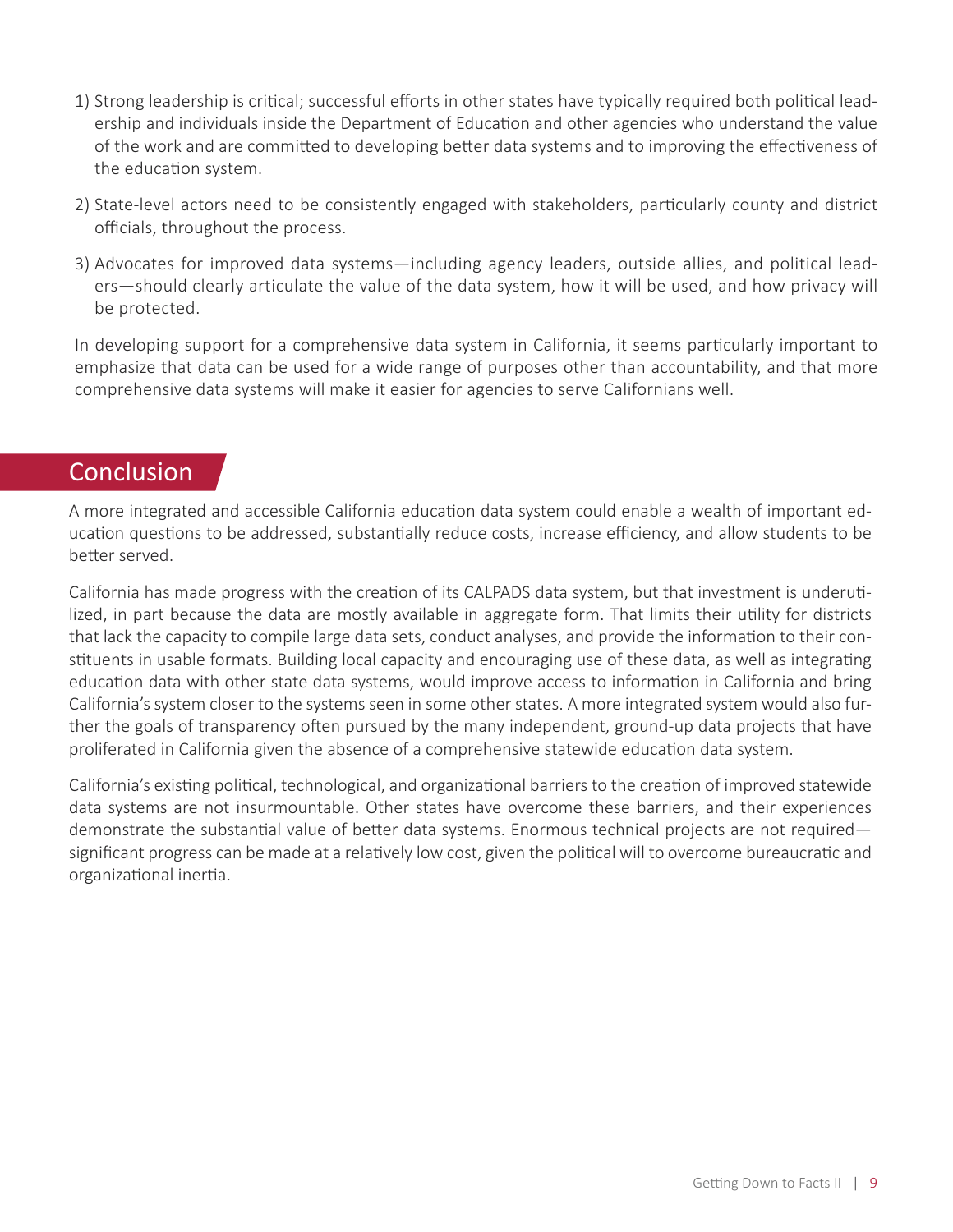- 1) Strong leadership is critical; successful efforts in other states have typically required both political leadership and individuals inside the Department of Education and other agencies who understand the value of the work and are committed to developing better data systems and to improving the effectiveness of the education system.
- 2) State-level actors need to be consistently engaged with stakeholders, particularly county and district officials, throughout the process.
- 3) Advocates for improved data systems—including agency leaders, outside allies, and political leaders—should clearly articulate the value of the data system, how it will be used, and how privacy will be protected.

In developing support for a comprehensive data system in California, it seems particularly important to emphasize that data can be used for a wide range of purposes other than accountability, and that more comprehensive data systems will make it easier for agencies to serve Californians well.

## **Conclusion**

A more integrated and accessible California education data system could enable a wealth of important education questions to be addressed, substantially reduce costs, increase efficiency, and allow students to be better served.

California has made progress with the creation of its CALPADS data system, but that investment is underutilized, in part because the data are mostly available in aggregate form. That limits their utility for districts that lack the capacity to compile large data sets, conduct analyses, and provide the information to their constituents in usable formats. Building local capacity and encouraging use of these data, as well as integrating education data with other state data systems, would improve access to information in California and bring California's system closer to the systems seen in some other states. A more integrated system would also further the goals of transparency often pursued by the many independent, ground-up data projects that have proliferated in California given the absence of a comprehensive statewide education data system.

California's existing political, technological, and organizational barriers to the creation of improved statewide data systems are not insurmountable. Other states have overcome these barriers, and their experiences demonstrate the substantial value of better data systems. Enormous technical projects are not required significant progress can be made at a relatively low cost, given the political will to overcome bureaucratic and organizational inertia.